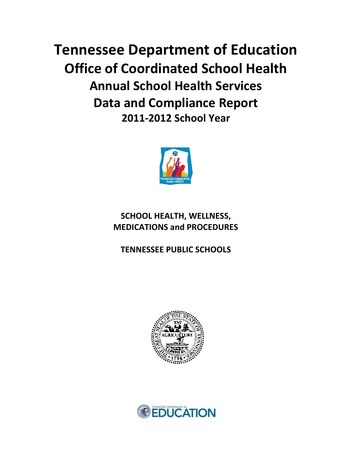**Tennessee Department of Education Office of Coordinated School Health Annual School Health Services Data and Compliance Report 2011-2012 School Year**



# **SCHOOL HEALTH, WELLNESS, MEDICATIONS and PROCEDURES**

**TENNESSEE PUBLIC SCHOOLS**



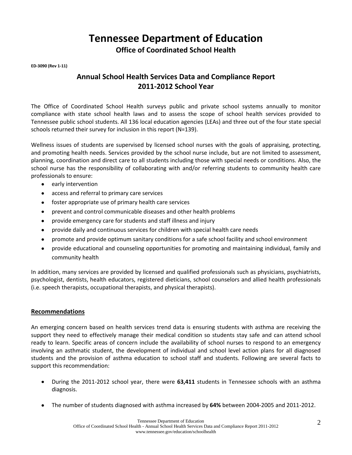**Tennessee Department of Education**

**Office of Coordinated School Health**

**ED-3090 (Rev 1-11)**

# **Annual School Health Services Data and Compliance Report 2011-2012 School Year**

The Office of Coordinated School Health surveys public and private school systems annually to monitor compliance with state school health laws and to assess the scope of school health services provided to Tennessee public school students. All 136 local education agencies (LEAs) and three out of the four state special schools returned their survey for inclusion in this report (N=139).

Wellness issues of students are supervised by licensed school nurses with the goals of appraising, protecting, and promoting health needs. Services provided by the school nurse include, but are not limited to assessment, planning, coordination and direct care to all students including those with special needs or conditions. Also, the school nurse has the responsibility of collaborating with and/or referring students to community health care professionals to ensure:

- early intervention  $\bullet$
- access and referral to primary care services
- foster appropriate use of primary health care services  $\bullet$
- prevent and control communicable diseases and other health problems  $\bullet$
- provide emergency care for students and staff illness and injury  $\bullet$
- provide daily and continuous services for children with special health care needs  $\bullet$
- promote and provide optimum sanitary conditions for a safe school facility and school environment
- provide educational and counseling opportunities for promoting and maintaining individual, family and  $\bullet$ community health

In addition, many services are provided by licensed and qualified professionals such as physicians, psychiatrists, psychologist, dentists, health educators, registered dieticians, school counselors and allied health professionals (i.e. speech therapists, occupational therapists, and physical therapists).

#### **Recommendations**

An emerging concern based on health services trend data is ensuring students with asthma are receiving the support they need to effectively manage their medical condition so students stay safe and can attend school ready to learn. Specific areas of concern include the availability of school nurses to respond to an emergency involving an asthmatic student, the development of individual and school level action plans for all diagnosed students and the provision of asthma education to school staff and students. Following are several facts to support this recommendation:

- During the 2011-2012 school year, there were **63,411** students in Tennessee schools with an asthma diagnosis.
- The number of students diagnosed with asthma increased by **64%** between 2004-2005 and 2011-2012.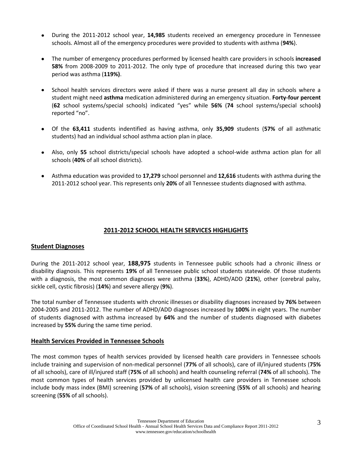- During the 2011-2012 school year, **14,985** students received an emergency procedure in Tennessee schools. Almost all of the emergency procedures were provided to students with asthma (**94%**).
- The number of emergency procedures performed by licensed health care providers in schools **increased**  $\bullet$ **58%** from 2008-2009 to 2011-2012. The only type of procedure that increased during this two year period was asthma (**119%)**.
- School health services directors were asked if there was a nurse present all day in schools where a student might need **asthma** medication administered during an emergency situation. **Forty-four percent** (**62** school systems/special schools) indicated "yes" while **56%** (**74** school systems/special schools**)** reported "no".
- Of the **63,411** students indentified as having asthma, only **35,909** students (**57%** of all asthmatic students) had an individual school asthma action plan in place.
- Also, only **55** school districts/special schools have adopted a school-wide asthma action plan for all schools (**40%** of all school districts).
- Asthma education was provided to **17,279** school personnel and **12,616** students with asthma during the 2011-2012 school year. This represents only **20%** of all Tennessee students diagnosed with asthma.

# **2011-2012 SCHOOL HEALTH SERVICES HIGHLIGHTS**

#### **Student Diagnoses**

During the 2011-2012 school year, **188,975** students in Tennessee public schools had a chronic illness or disability diagnosis. This represents **19%** of all Tennessee public school students statewide. Of those students with a diagnosis, the most common diagnoses were asthma (**33%**), ADHD/ADD (**21%**), other (cerebral palsy, sickle cell, cystic fibrosis) (**14%**) and severe allergy (**9%**).

The total number of Tennessee students with chronic illnesses or disability diagnoses increased by **76%** between 2004-2005 and 2011-2012. The number of ADHD/ADD diagnoses increased by **100%** in eight years. The number of students diagnosed with asthma increased by **64%** and the number of students diagnosed with diabetes increased by **55%** during the same time period.

#### **Health Services Provided in Tennessee Schools**

The most common types of health services provided by licensed health care providers in Tennessee schools include training and supervision of non-medical personnel (**77%** of all schools), care of ill/injured students (**75%** of all schools), care of ill/injured staff (**75%** of all schools) and health counseling referral (**74%** of all schools). The most common types of health services provided by unlicensed health care providers in Tennessee schools include body mass index (BMI) screening (**57%** of all schools), vision screening (**55%** of all schools) and hearing screening (**55%** of all schools).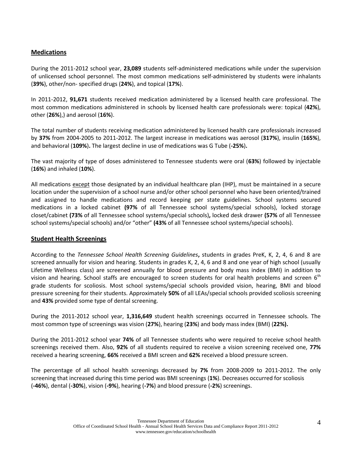## **Medications**

During the 2011-2012 school year, **23,089** students self-administered medications while under the supervision of unlicensed school personnel. The most common medications self-administered by students were inhalants (**39%**), other/non- specified drugs (**24%**), and topical (**17%**).

In 2011-2012, **91,671** students received medication administered by a licensed health care professional. The most common medications administered in schools by licensed health care professionals were: topical (**42%**), other (**26%**),) and aerosol (**16%**).

The total number of students receiving medication administered by licensed health care professionals increased by **37%** from 2004-2005 to 2011-2012. The largest increase in medications was aerosol (**317%**), insulin (**165%**), and behavioral (**109%**)**.** The largest decline in use of medications was G Tube (**-25%**)**.**

The vast majority of type of doses administered to Tennessee students were oral (**63%**) followed by injectable (**16%**) and inhaled (**10%**).

All medications except those designated by an individual healthcare plan (IHP), must be maintained in a secure location under the supervision of a school nurse and/or other school personnel who have been oriented/trained and assigned to handle medications and record keeping per state guidelines. School systems secured medications in a locked cabinet **(97%** of all Tennessee school systems/special schools), locked storage closet/cabinet **(73%** of all Tennessee school systems/special schools)**,** locked desk drawer **(57%** of all Tennessee school systems/special schools) and/or "other" **(43%** of all Tennessee school systems/special schools).

#### **Student Health Screenings**

According to the *Tennessee School Health Screening Guidelines***,** students in grades PreK, K, 2, 4, 6 and 8 are screened annually for vision and hearing. Students in grades K, 2, 4, 6 and 8 and one year of high school (usually Lifetime Wellness class) are screened annually for blood pressure and body mass index (BMI) in addition to vision and hearing. School staffs are encouraged to screen students for oral health problems and screen 6<sup>th</sup> grade students for scoliosis. Most school systems/special schools provided vision, hearing, BMI and blood pressure screening for their students. Approximately **50%** of all LEAs/special schools provided scoliosis screening and **43%** provided some type of dental screening.

During the 2011-2012 school year, **1,316,649** student health screenings occurred in Tennessee schools. The most common type of screenings was vision (**27%**), hearing (**23%**) and body mass index (BMI) (**22%).**

During the 2011-2012 school year **74%** of all Tennessee students who were required to receive school health screenings received them. Also, **92%** of all students required to receive a vision screening received one, **77%** received a hearing screening, **66%** received a BMI screen and **62%** received a blood pressure screen.

The percentage of all school health screenings decreased by **7%** from 2008-2009 to 2011-2012. The only screening that increased during this time period was BMI screenings (**1%**). Decreases occurred for scoliosis (**-46%**), dental (**-30%**), vision (**-9%**), hearing (**-7%**) and blood pressure (**-2%**) screenings.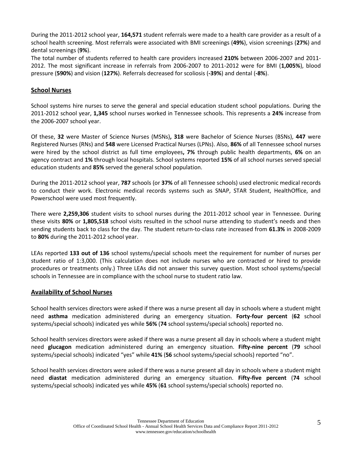During the 2011-2012 school year, **164,571** student referrals were made to a health care provider as a result of a school health screening. Most referrals were associated with BMI screenings (**49%**), vision screenings (**27%**) and dental screenings (**9%**).

The total number of students referred to health care providers increased **210%** between 2006-2007 and 2011- 2012. The most significant increase in referrals from 2006-2007 to 2011-2012 were for BMI (**1,005%**), blood pressure (**590%**) and vision (**127%**). Referrals decreased for scoliosis (**-39%**) and dental (**-8%**).

#### **School Nurses**

School systems hire nurses to serve the general and special education student school populations. During the 2011-2012 school year, **1,345** school nurses worked in Tennessee schools. This represents a **24%** increase from the 2006-2007 school year.

Of these, **32** were Master of Science Nurses (MSNs)**, 318** were Bachelor of Science Nurses (BSNs), **447** were Registered Nurses (RNs) and **548** were Licensed Practical Nurses (LPNs). Also, **86%** of all Tennessee school nurses were hired by the school district as full time employees**, 7%** through public health departments, **6%** on an agency contract and **1%** through local hospitals. School systems reported **15%** of all school nurses served special education students and **85%** served the general school population.

During the 2011-2012 school year, **787** schools (or **37%** of all Tennessee schools) used electronic medical records to conduct their work. Electronic medical records systems such as SNAP, STAR Student, HealthOffice, and Powerschool were used most frequently.

There were **2,259,306** student visits to school nurses during the 2011-2012 school year in Tennessee. During these visits **80%** or **1,805,518** school visits resulted in the school nurse attending to student's needs and then sending students back to class for the day. The student return-to-class rate increased from **61.3%** in 2008-2009 to **80%** during the 2011-2012 school year.

LEAs reported **133 out of 136** school systems/special schools meet the requirement for number of nurses per student ratio of 1:3,000. (This calculation does not include nurses who are contracted or hired to provide procedures or treatments only.) Three LEAs did not answer this survey question. Most school systems/special schools in Tennessee are in compliance with the school nurse to student ratio law.

#### **Availability of School Nurses**

School health services directors were asked if there was a nurse present all day in schools where a student might need **asthma** medication administered during an emergency situation. **Forty-four percent** (**62** school systems/special schools) indicated yes while **56%** (**74** school systems/special schools) reported no.

School health services directors were asked if there was a nurse present all day in schools where a student might need **glucagon** medication administered during an emergency situation. **Fifty-nine percent** (**79** school systems/special schools) indicated "yes" while **41%** (**56** school systems/special schools) reported "no".

School health services directors were asked if there was a nurse present all day in schools where a student might need **diastat** medication administered during an emergency situation. **Fifty-five percent** (**74** school systems/special schools) indicated yes while **45%** (**61** school systems/special schools) reported no.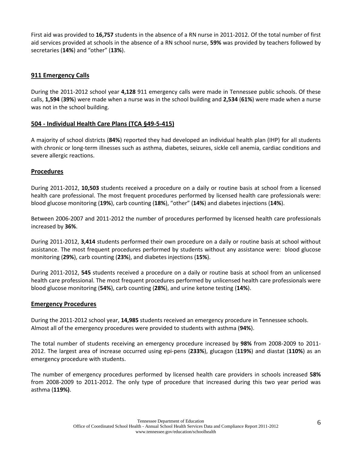First aid was provided to **16,757** students in the absence of a RN nurse in 2011-2012. Of the total number of first aid services provided at schools in the absence of a RN school nurse, **59%** was provided by teachers followed by secretaries (**14%**) and "other" (**13%**).

## **911 Emergency Calls**

During the 2011-2012 school year **4,128** 911 emergency calls were made in Tennessee public schools. Of these calls, **1,594** (**39%**) were made when a nurse was in the school building and **2,534** (**61%**) were made when a nurse was not in the school building.

## **504 - Individual Health Care Plans (TCA §49-5-415)**

A majority of school districts (**84%**) reported they had developed an individual health plan (IHP) for all students with chronic or long-term illnesses such as asthma, diabetes, seizures, sickle cell anemia, cardiac conditions and severe allergic reactions.

#### **Procedures**

During 2011-2012, **10,503** students received a procedure on a daily or routine basis at school from a licensed health care professional. The most frequent procedures performed by licensed health care professionals were: blood glucose monitoring (**19%**), carb counting (**18%**), "other" (**14%**) and diabetes injections (**14%**).

Between 2006-2007 and 2011-2012 the number of procedures performed by licensed health care professionals increased by **36%**.

During 2011-2012, **3,414** students performed their own procedure on a daily or routine basis at school without assistance. The most frequent procedures performed by students without any assistance were: blood glucose monitoring (**29%**), carb counting (**23%**), and diabetes injections (**15%**).

During 2011-2012, **545** students received a procedure on a daily or routine basis at school from an unlicensed health care professional. The most frequent procedures performed by unlicensed health care professionals were blood glucose monitoring (**54%**), carb counting (**28%**), and urine ketone testing (**14%**).

#### **Emergency Procedures**

During the 2011-2012 school year, **14,985** students received an emergency procedure in Tennessee schools. Almost all of the emergency procedures were provided to students with asthma (**94%**).

The total number of students receiving an emergency procedure increased by **98%** from 2008-2009 to 2011- 2012. The largest area of increase occurred using epi-pens (**233%**), glucagon (**119%**) and diastat (**110%**) as an emergency procedure with students.

The number of emergency procedures performed by licensed health care providers in schools increased **58%** from 2008-2009 to 2011-2012. The only type of procedure that increased during this two year period was asthma (**119%)**.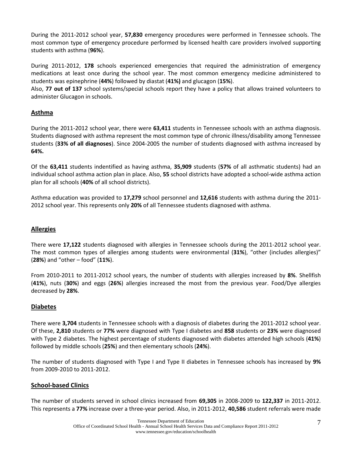During the 2011-2012 school year, **57,830** emergency procedures were performed in Tennessee schools. The most common type of emergency procedure performed by licensed health care providers involved supporting students with asthma (**96%**).

During 2011-2012, **178** schools experienced emergencies that required the administration of emergency medications at least once during the school year. The most common emergency medicine administered to students was epinephrine (**44%**) followed by diastat (**41%)** and glucagon (**15%**).

Also, **77 out of 137** school systems/special schools report they have a policy that allows trained volunteers to administer Glucagon in schools.

# **Asthma**

During the 2011-2012 school year, there were **63,411** students in Tennessee schools with an asthma diagnosis. Students diagnosed with asthma represent the most common type of chronic illness/disability among Tennessee students (**33% of all diagnoses**). Since 2004-2005 the number of students diagnosed with asthma increased by **64%.**

Of the **63,411** students indentified as having asthma, **35,909** students (**57%** of all asthmatic students) had an individual school asthma action plan in place. Also, **55** school districts have adopted a school-wide asthma action plan for all schools (**40%** of all school districts).

Asthma education was provided to **17,279** school personnel and **12,616** students with asthma during the 2011- 2012 school year. This represents only **20%** of all Tennessee students diagnosed with asthma.

# **Allergies**

There were **17,122** students diagnosed with allergies in Tennessee schools during the 2011-2012 school year. The most common types of allergies among students were environmental (**31%**), "other (includes allergies)" (**28%**) and "other – food" (**11%**).

From 2010-2011 to 2011-2012 school years, the number of students with allergies increased by **8%**. Shellfish (**41%**), nuts (**30%**) and eggs (**26%**) allergies increased the most from the previous year. Food/Dye allergies decreased by **28%**.

#### **Diabetes**

There were **3,704** students in Tennessee schools with a diagnosis of diabetes during the 2011-2012 school year. Of these, **2,810** students or **77%** were diagnosed with Type I diabetes and **858** students or **23%** were diagnosed with Type 2 diabetes. The highest percentage of students diagnosed with diabetes attended high schools (**41%**) followed by middle schools (**25%**) and then elementary schools (**24%**).

The number of students diagnosed with Type I and Type II diabetes in Tennessee schools has increased by **9%** from 2009-2010 to 2011-2012.

#### **School-based Clinics**

The number of students served in school clinics increased from **69,305** in 2008-2009 to **122,337** in 2011-2012. This represents a **77%** increase over a three-year period. Also, in 2011-2012, **40,586** student referrals were made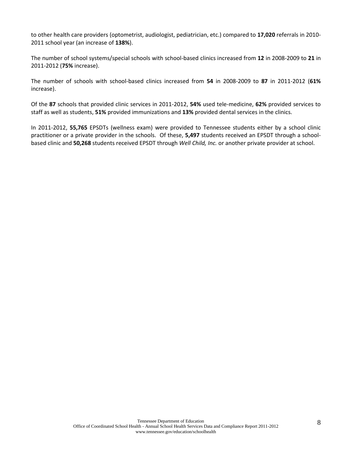to other health care providers (optometrist, audiologist, pediatrician, etc.) compared to **17,020** referrals in 2010- 2011 school year (an increase of **138%**).

The number of school systems/special schools with school-based clinics increased from **12** in 2008-2009 to **21** in 2011-2012 (**75%** increase).

The number of schools with school-based clinics increased from **54** in 2008-2009 to **87** in 2011-2012 (**61%**  increase).

Of the **87** schools that provided clinic services in 2011-2012, **54%** used tele-medicine, **62%** provided services to staff as well as students, **51%** provided immunizations and **13%** provided dental services in the clinics.

In 2011-2012, **55,765** EPSDTs (wellness exam) were provided to Tennessee students either by a school clinic practitioner or a private provider in the schools. Of these, **5,497** students received an EPSDT through a schoolbased clinic and **50,268** students received EPSDT through *Well Child, Inc.* or another private provider at school.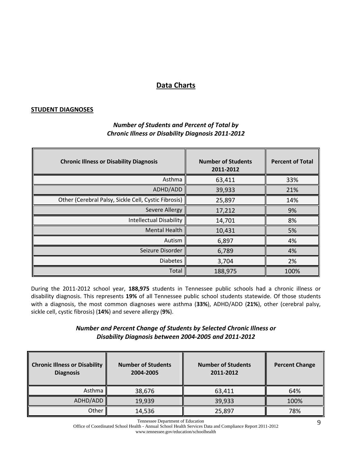# **Data Charts**

#### **STUDENT DIAGNOSES**

| <b>Chronic Illness or Disability Diagnosis</b>       | <b>Number of Students</b><br>2011-2012 | <b>Percent of Total</b> |
|------------------------------------------------------|----------------------------------------|-------------------------|
| Asthma                                               | 63,411                                 | 33%                     |
| ADHD/ADD                                             | 39,933                                 | 21%                     |
| Other (Cerebral Palsy, Sickle Cell, Cystic Fibrosis) | 25,897                                 | 14%                     |
| <b>Severe Allergy</b>                                | 17,212                                 | 9%                      |
| <b>Intellectual Disability</b>                       | 14,701                                 | 8%                      |
| <b>Mental Health</b>                                 | 10,431                                 | 5%                      |
| Autism                                               | 6,897                                  | 4%                      |
| Seizure Disorder                                     | 6,789                                  | 4%                      |
| <b>Diabetes</b>                                      | 3,704                                  | 2%                      |
| Total                                                | 188,975                                | 100%                    |

# *Number of Students and Percent of Total by Chronic Illness or Disability Diagnosis 2011-2012*

During the 2011-2012 school year, **188,975** students in Tennessee public schools had a chronic illness or disability diagnosis. This represents **19%** of all Tennessee public school students statewide. Of those students with a diagnosis, the most common diagnoses were asthma (**33%**), ADHD/ADD (**21%**), other (cerebral palsy, sickle cell, cystic fibrosis) (**14%**) and severe allergy (**9%**).

# *Number and Percent Change of Students by Selected Chronic Illness or Disability Diagnosis between 2004-2005 and 2011-2012*

| <b>Chronic Illness or Disability</b><br><b>Diagnosis</b> | <b>Number of Students</b><br>2004-2005 | <b>Number of Students</b><br>2011-2012 | <b>Percent Change</b> |
|----------------------------------------------------------|----------------------------------------|----------------------------------------|-----------------------|
| Asthma                                                   | 38,676                                 | 63,411                                 | 64%                   |
| ADHD/ADD                                                 | 19,939                                 | 39,933                                 | 100%                  |
| Other                                                    | 14,536                                 | 25,897                                 | 78%                   |

Tennessee Department of Education

Office of Coordinated School Health - Annual School Health Services Data and Compliance Report 2011-2012 www.tennessee.gov/education/schoolhealth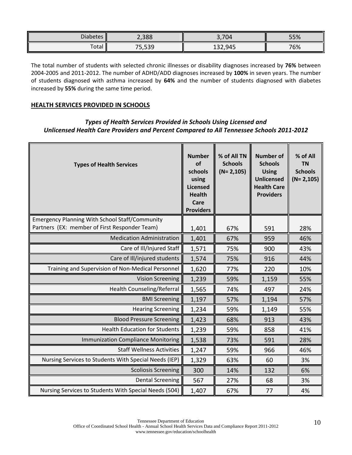| <b>Diabetes</b> | 2,388                     | 3,704   | 55% |
|-----------------|---------------------------|---------|-----|
| Total           | $\Gamma$<br>--<br>ر ر ر ر | 132,945 | 76% |

The total number of students with selected chronic illnesses or disability diagnoses increased by **76%** between 2004-2005 and 2011-2012. The number of ADHD/ADD diagnoses increased by **100%** in seven years. The number of students diagnosed with asthma increased by **64%** and the number of students diagnosed with diabetes increased by **55%** during the same time period.

#### **HEALTH SERVICES PROVIDED IN SCHOOLS**

# *Types of Health Services Provided in Schools Using Licensed and Unlicensed Health Care Providers and Percent Compared to All Tennessee Schools 2011-2012*

| <b>Types of Health Services</b>                                                                        | <b>Number</b><br>of<br>schools<br>using<br><b>Licensed</b><br><b>Health</b><br>Care<br><b>Providers</b> | % of All TN<br><b>Schools</b><br>$(N = 2, 105)$ | <b>Number of</b><br><b>Schools</b><br><b>Using</b><br><b>Unlicensed</b><br><b>Health Care</b><br><b>Providers</b> | % of All<br><b>TN</b><br><b>Schools</b><br>$(N=2,105)$ |
|--------------------------------------------------------------------------------------------------------|---------------------------------------------------------------------------------------------------------|-------------------------------------------------|-------------------------------------------------------------------------------------------------------------------|--------------------------------------------------------|
| <b>Emergency Planning With School Staff/Community</b><br>Partners (EX: member of First Responder Team) |                                                                                                         |                                                 |                                                                                                                   |                                                        |
|                                                                                                        | 1,401                                                                                                   | 67%                                             | 591                                                                                                               | 28%                                                    |
| <b>Medication Administration</b>                                                                       | 1,401                                                                                                   | 67%                                             | 959                                                                                                               | 46%                                                    |
| Care of Ill/Injured Staff                                                                              | 1,571                                                                                                   | 75%                                             | 900                                                                                                               | 43%                                                    |
| Care of Ill/injured students                                                                           | 1,574                                                                                                   | 75%                                             | 916                                                                                                               | 44%                                                    |
| Training and Supervision of Non-Medical Personnel                                                      | 1,620                                                                                                   | 77%                                             | 220                                                                                                               | 10%                                                    |
| <b>Vision Screening</b>                                                                                | 1,239                                                                                                   | 59%                                             | 1,159                                                                                                             | 55%                                                    |
| Health Counseling/Referral                                                                             | 1,565                                                                                                   | 74%                                             | 497                                                                                                               | 24%                                                    |
| <b>BMI Screening</b>                                                                                   | 1,197                                                                                                   | 57%                                             | 1,194                                                                                                             | 57%                                                    |
| <b>Hearing Screening</b>                                                                               | 1,234                                                                                                   | 59%                                             | 1,149                                                                                                             | 55%                                                    |
| <b>Blood Pressure Screening</b>                                                                        | 1,423                                                                                                   | 68%                                             | 913                                                                                                               | 43%                                                    |
| <b>Health Education for Students</b>                                                                   | 1,239                                                                                                   | 59%                                             | 858                                                                                                               | 41%                                                    |
| <b>Immunization Compliance Monitoring</b>                                                              | 1,538                                                                                                   | 73%                                             | 591                                                                                                               | 28%                                                    |
| <b>Staff Wellness Activities</b>                                                                       | 1,247                                                                                                   | 59%                                             | 966                                                                                                               | 46%                                                    |
| Nursing Services to Students With Special Needs (IEP)                                                  | 1,329                                                                                                   | 63%                                             | 60                                                                                                                | 3%                                                     |
| <b>Scoliosis Screening</b>                                                                             | 300                                                                                                     | 14%                                             | 132                                                                                                               | 6%                                                     |
| <b>Dental Screening</b>                                                                                | 567                                                                                                     | 27%                                             | 68                                                                                                                | 3%                                                     |
| Nursing Services to Students With Special Needs (504)                                                  | 1,407                                                                                                   | 67%                                             | 77                                                                                                                | 4%                                                     |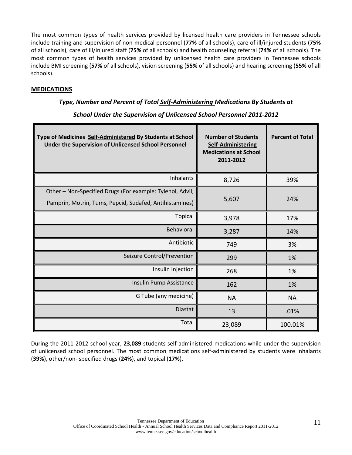The most common types of health services provided by licensed health care providers in Tennessee schools include training and supervision of non-medical personnel (**77%** of all schools), care of ill/injured students (**75%** of all schools), care of ill/injured staff (**75%** of all schools) and health counseling referral (**74%** of all schools). The most common types of health services provided by unlicensed health care providers in Tennessee schools include BMI screening (**57%** of all schools), vision screening (**55%** of all schools) and hearing screening (**55%** of all schools).

## **MEDICATIONS**

## *Type, Number and Percent of Total Self-Administering Medications By Students at*

| Type of Medicines Self-Administered By Students at School<br>Under the Supervision of Unlicensed School Personnel    | <b>Number of Students</b><br><b>Self-Administering</b><br><b>Medications at School</b><br>2011-2012 | <b>Percent of Total</b> |
|----------------------------------------------------------------------------------------------------------------------|-----------------------------------------------------------------------------------------------------|-------------------------|
| <b>Inhalants</b>                                                                                                     | 8,726                                                                                               | 39%                     |
| Other - Non-Specified Drugs (For example: Tylenol, Advil,<br>Pamprin, Motrin, Tums, Pepcid, Sudafed, Antihistamines) | 5,607                                                                                               | 24%                     |
| Topical                                                                                                              | 3,978                                                                                               | 17%                     |
| <b>Behavioral</b>                                                                                                    | 3,287                                                                                               | 14%                     |
| Antibiotic                                                                                                           | 749                                                                                                 | 3%                      |
| Seizure Control/Prevention                                                                                           | 299                                                                                                 | 1%                      |
| Insulin Injection                                                                                                    | 268                                                                                                 | 1%                      |
| Insulin Pump Assistance                                                                                              | 162                                                                                                 | 1%                      |
| G Tube (any medicine)                                                                                                | <b>NA</b>                                                                                           | <b>NA</b>               |
| <b>Diastat</b>                                                                                                       | 13                                                                                                  | .01%                    |
| Total                                                                                                                | 23,089                                                                                              | 100.01%                 |

*School Under the Supervision of Unlicensed School Personnel 2011-2012*

During the 2011-2012 school year, **23,089** students self-administered medications while under the supervision of unlicensed school personnel. The most common medications self-administered by students were inhalants (**39%**), other/non- specified drugs (**24%**), and topical (**17%**).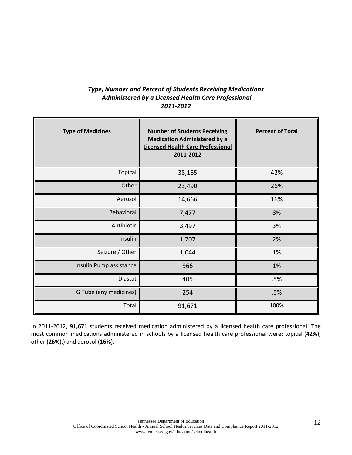# *Type, Number and Percent of Students Receiving Medications Administered by a Licensed Health Care Professional 2011-2012*

| <b>Type of Medicines</b> | <b>Number of Students Receiving</b><br><b>Medication Administered by a</b><br><b>Licensed Health Care Professional</b><br>2011-2012 | <b>Percent of Total</b> |
|--------------------------|-------------------------------------------------------------------------------------------------------------------------------------|-------------------------|
| Topical                  | 38,165                                                                                                                              | 42%                     |
| Other                    | 23,490                                                                                                                              | 26%                     |
| Aerosol                  | 14,666                                                                                                                              | 16%                     |
| Behavioral               | 7,477                                                                                                                               | 8%                      |
| Antibiotic               | 3,497                                                                                                                               | 3%                      |
| Insulin                  | 1,707                                                                                                                               | 2%                      |
| Seizure / Other          | 1,044                                                                                                                               | 1%                      |
| Insulin Pump assistance  | 966                                                                                                                                 | 1%                      |
| Diastat                  | 405                                                                                                                                 | .5%                     |
| G Tube (any medicines)   | 254                                                                                                                                 | .5%                     |
| Total                    | 91,671                                                                                                                              | 100%                    |

In 2011-2012, **91,671** students received medication administered by a licensed health care professional. The most common medications administered in schools by a licensed health care professional were: topical (**42%**), other (**26%**),) and aerosol (**16%**).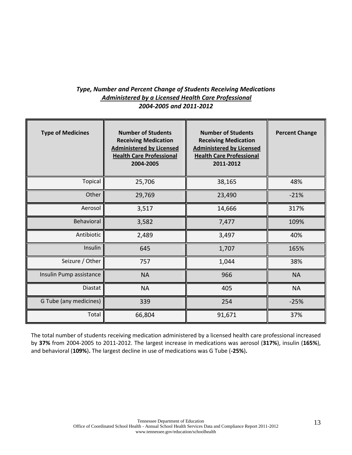## *Type, Number and Percent Change of Students Receiving Medications Administered by a Licensed Health Care Professional 2004-2005 and 2011-2012*

| <b>Type of Medicines</b> | <b>Number of Students</b><br><b>Receiving Medication</b><br><b>Administered by Licensed</b><br><b>Health Care Professional</b><br>2004-2005 | <b>Number of Students</b><br><b>Receiving Medication</b><br><b>Administered by Licensed</b><br><b>Health Care Professional</b><br>2011-2012 | <b>Percent Change</b> |
|--------------------------|---------------------------------------------------------------------------------------------------------------------------------------------|---------------------------------------------------------------------------------------------------------------------------------------------|-----------------------|
| Topical                  | 25,706                                                                                                                                      | 38,165                                                                                                                                      | 48%                   |
| Other                    | 29,769                                                                                                                                      | 23,490                                                                                                                                      | $-21%$                |
| Aerosol                  | 3,517                                                                                                                                       | 14,666                                                                                                                                      | 317%                  |
| Behavioral               | 3,582                                                                                                                                       | 7,477                                                                                                                                       | 109%                  |
| Antibiotic               | 2,489                                                                                                                                       | 3,497                                                                                                                                       | 40%                   |
| Insulin                  | 645                                                                                                                                         | 1,707                                                                                                                                       | 165%                  |
| Seizure / Other          | 757                                                                                                                                         | 1,044                                                                                                                                       | 38%                   |
| Insulin Pump assistance  | <b>NA</b>                                                                                                                                   | 966                                                                                                                                         | <b>NA</b>             |
| Diastat                  | <b>NA</b>                                                                                                                                   | 405                                                                                                                                         | <b>NA</b>             |
| G Tube (any medicines)   | 339                                                                                                                                         | 254                                                                                                                                         | $-25%$                |
| Total                    | 66,804                                                                                                                                      | 91,671                                                                                                                                      | 37%                   |

The total number of students receiving medication administered by a licensed health care professional increased by **37%** from 2004-2005 to 2011-2012. The largest increase in medications was aerosol (**317%**), insulin (**165%**), and behavioral (**109%**)**.** The largest decline in use of medications was G Tube (**-25%**)**.**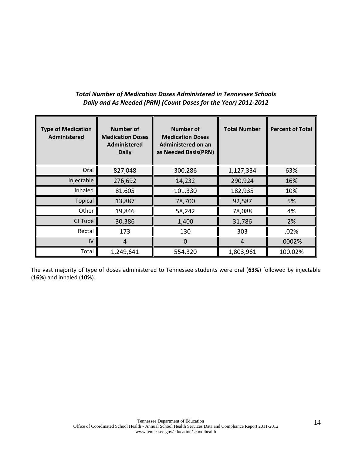# *Total Number of Medication Doses Administered in Tennessee Schools Daily and As Needed (PRN) (Count Doses for the Year) 2011-2012*

| <b>Type of Medication</b><br>Administered | <b>Number of</b><br><b>Medication Doses</b><br><b>Administered</b><br><b>Daily</b> | <b>Number of</b><br><b>Medication Doses</b><br>Administered on an<br>as Needed Basis(PRN) | <b>Total Number</b> | <b>Percent of Total</b> |
|-------------------------------------------|------------------------------------------------------------------------------------|-------------------------------------------------------------------------------------------|---------------------|-------------------------|
| Oral                                      | 827,048                                                                            | 300,286                                                                                   | 1,127,334           | 63%                     |
| Injectable                                | 276,692                                                                            | 14,232                                                                                    | 290,924             | 16%                     |
| Inhaled                                   | 81,605                                                                             | 101,330                                                                                   | 182,935             | 10%                     |
| <b>Topical</b>                            | 13,887                                                                             | 78,700                                                                                    | 92,587              | 5%                      |
| Other                                     | 19,846                                                                             | 58,242                                                                                    | 78,088              | 4%                      |
| <b>GI Tube</b>                            | 30,386                                                                             | 1,400                                                                                     | 31,786              | 2%                      |
| Rectal                                    | 173                                                                                | 130                                                                                       | 303                 | .02%                    |
| IV                                        | $\overline{4}$                                                                     | $\overline{0}$                                                                            | 4                   | .0002%                  |
| Total                                     | 1,249,641                                                                          | 554,320                                                                                   | 1,803,961           | 100.02%                 |

The vast majority of type of doses administered to Tennessee students were oral (**63%**) followed by injectable (**16%**) and inhaled (**10%**).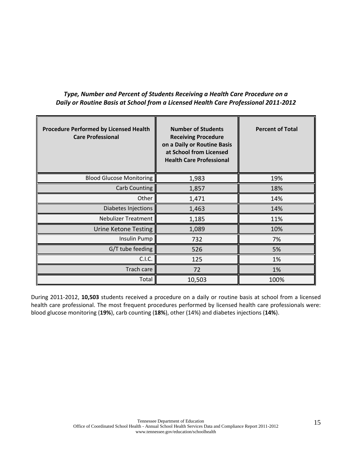| <b>Procedure Performed by Licensed Health</b><br><b>Care Professional</b> | <b>Number of Students</b><br><b>Receiving Procedure</b><br>on a Daily or Routine Basis<br>at School from Licensed<br><b>Health Care Professional</b> | <b>Percent of Total</b> |
|---------------------------------------------------------------------------|------------------------------------------------------------------------------------------------------------------------------------------------------|-------------------------|
| <b>Blood Glucose Monitoring</b>                                           | 1,983                                                                                                                                                | 19%                     |
| <b>Carb Counting</b>                                                      | 1,857                                                                                                                                                | 18%                     |
| Other                                                                     | 1,471                                                                                                                                                | 14%                     |
| Diabetes Injections                                                       | 1,463                                                                                                                                                | 14%                     |
| <b>Nebulizer Treatment</b>                                                | 1,185                                                                                                                                                | 11%                     |
| <b>Urine Ketone Testing</b>                                               | 1,089                                                                                                                                                | 10%                     |
| Insulin Pump                                                              | 732                                                                                                                                                  | 7%                      |
| G/T tube feeding                                                          | 526                                                                                                                                                  | 5%                      |
| C.I.C.                                                                    | 125                                                                                                                                                  | 1%                      |
| Trach care                                                                | 72                                                                                                                                                   | 1%                      |
| Total                                                                     | 10,503                                                                                                                                               | 100%                    |

*Type, Number and Percent of Students Receiving a Health Care Procedure on a Daily or Routine Basis at School from a Licensed Health Care Professional 2011-2012*

During 2011-2012, **10,503** students received a procedure on a daily or routine basis at school from a licensed health care professional. The most frequent procedures performed by licensed health care professionals were: blood glucose monitoring (**19%**), carb counting (**18%**), other (14%) and diabetes injections (**14%**).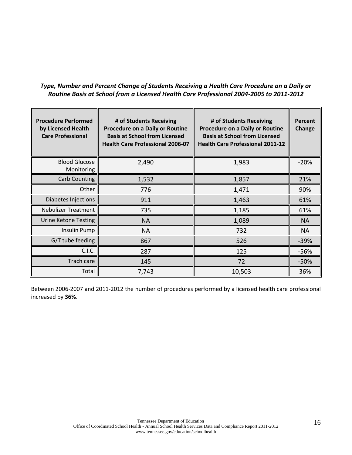# *Type, Number and Percent Change of Students Receiving a Health Care Procedure on a Daily or Routine Basis at School from a Licensed Health Care Professional 2004-2005 to 2011-2012*

| <b>Procedure Performed</b><br>by Licensed Health<br><b>Care Professional</b> | # of Students Receiving<br>Procedure on a Daily or Routine<br><b>Basis at School from Licensed</b><br><b>Health Care Professional 2006-07</b> | # of Students Receiving<br><b>Procedure on a Daily or Routine</b><br><b>Basis at School from Licensed</b><br><b>Health Care Professional 2011-12</b> | Percent<br>Change |
|------------------------------------------------------------------------------|-----------------------------------------------------------------------------------------------------------------------------------------------|------------------------------------------------------------------------------------------------------------------------------------------------------|-------------------|
| <b>Blood Glucose</b><br>Monitoring                                           | 2,490                                                                                                                                         | 1,983                                                                                                                                                | $-20%$            |
| Carb Counting                                                                | 1,532                                                                                                                                         | 1,857                                                                                                                                                | 21%               |
| Other                                                                        | 776                                                                                                                                           | 1,471                                                                                                                                                | 90%               |
| Diabetes Injections                                                          | 911                                                                                                                                           | 1,463                                                                                                                                                | 61%               |
| <b>Nebulizer Treatment</b>                                                   | 735                                                                                                                                           | 1,185                                                                                                                                                | 61%               |
| Urine Ketone Testing                                                         | <b>NA</b>                                                                                                                                     | 1,089                                                                                                                                                | <b>NA</b>         |
| Insulin Pump                                                                 | <b>NA</b>                                                                                                                                     | 732                                                                                                                                                  | NA                |
| G/T tube feeding                                                             | 867                                                                                                                                           | 526                                                                                                                                                  | $-39%$            |
| C.I.C.                                                                       | 287                                                                                                                                           | 125                                                                                                                                                  | $-56%$            |
| Trach care                                                                   | 145                                                                                                                                           | 72                                                                                                                                                   | $-50%$            |
| Total                                                                        | 7,743                                                                                                                                         | 10,503                                                                                                                                               | 36%               |

Between 2006-2007 and 2011-2012 the number of procedures performed by a licensed health care professional increased by **36%**.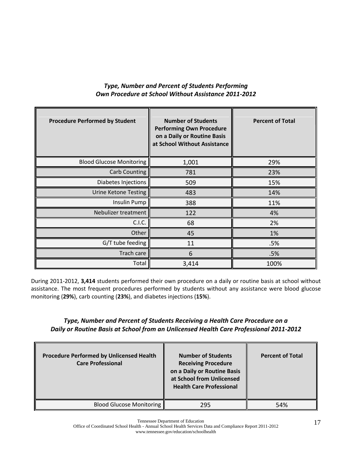# *Type, Number and Percent of Students Performing Own Procedure at School Without Assistance 2011-2012*

| <b>Procedure Performed by Student</b> | <b>Number of Students</b><br><b>Performing Own Procedure</b><br>on a Daily or Routine Basis<br>at School Without Assistance | <b>Percent of Total</b> |
|---------------------------------------|-----------------------------------------------------------------------------------------------------------------------------|-------------------------|
| <b>Blood Glucose Monitoring</b>       | 1,001                                                                                                                       | 29%                     |
| <b>Carb Counting</b>                  | 781                                                                                                                         | 23%                     |
| Diabetes Injections                   | 509                                                                                                                         | 15%                     |
| <b>Urine Ketone Testing</b>           | 483                                                                                                                         | 14%                     |
| <b>Insulin Pump</b>                   | 388                                                                                                                         | 11%                     |
| Nebulizer treatment                   | 122                                                                                                                         | 4%                      |
| C.I.C.                                | 68                                                                                                                          | 2%                      |
| Other                                 | 45                                                                                                                          | 1%                      |
| G/T tube feeding                      | 11                                                                                                                          | .5%                     |
| Trach care                            | 6                                                                                                                           | .5%                     |
| Total                                 | 3,414                                                                                                                       | 100%                    |

During 2011-2012, **3,414** students performed their own procedure on a daily or routine basis at school without assistance. The most frequent procedures performed by students without any assistance were blood glucose monitoring (**29%**), carb counting (**23%**), and diabetes injections (**15%**).

# *Type, Number and Percent of Students Receiving a Health Care Procedure on a Daily or Routine Basis at School from an Unlicensed Health Care Professional 2011-2012*

| <b>Procedure Performed by Unlicensed Health</b><br><b>Care Professional</b> | <b>Number of Students</b><br><b>Receiving Procedure</b><br>on a Daily or Routine Basis<br>at School from Unlicensed<br><b>Health Care Professional</b> | <b>Percent of Total</b> |
|-----------------------------------------------------------------------------|--------------------------------------------------------------------------------------------------------------------------------------------------------|-------------------------|
| <b>Blood Glucose Monitoring</b>                                             | 295                                                                                                                                                    | 54%                     |

Tennessee Department of Education

Office of Coordinated School Health - Annual School Health Services Data and Compliance Report 2011-2012 www.tennessee.gov/education/schoolhealth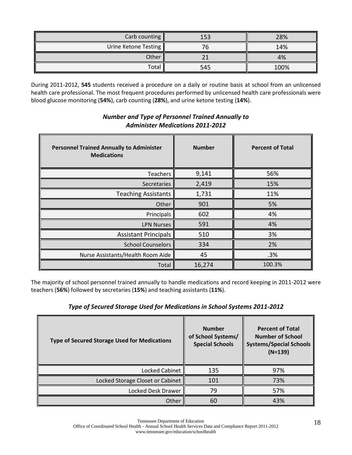| Carb counting $\parallel$ | 153 | 28%  |
|---------------------------|-----|------|
| Urine Ketone Testing      |     | 14%  |
| Other                     |     | 4%   |
| Total                     | 545 | 100% |

During 2011-2012, **545** students received a procedure on a daily or routine basis at school from an unlicensed health care professional. The most frequent procedures performed by unlicensed health care professionals were blood glucose monitoring (**54%**), carb counting (**28%**), and urine ketone testing (**14%**).

| <b>Personnel Trained Annually to Administer</b><br><b>Medications</b> | <b>Number</b> | <b>Percent of Total</b> |
|-----------------------------------------------------------------------|---------------|-------------------------|
| Teachers                                                              | 9,141         | 56%                     |
| Secretaries                                                           | 2,419         | 15%                     |
| <b>Teaching Assistants</b>                                            | 1,731         | 11%                     |
| Other                                                                 | 901           | 5%                      |
| Principals                                                            | 602           | 4%                      |
| <b>LPN Nurses</b>                                                     | 591           | 4%                      |
| <b>Assistant Principals</b>                                           | 510           | 3%                      |
| <b>School Counselors</b>                                              | 334           | 2%                      |
| Nurse Assistants/Health Room Aide                                     | 45            | .3%                     |
| Total                                                                 | 16,274        | 100.3%                  |

# *Number and Type of Personnel Trained Annually to Administer Medications 2011-2012*

The majority of school personnel trained annually to handle medications and record keeping in 2011-2012 were teachers (**56%**) followed by secretaries (**15%**) and teaching assistants (**11%**).

# *Type of Secured Storage Used for Medications in School Systems 2011-2012*

| <b>Type of Secured Storage Used for Medications</b> | <b>Number</b><br>of School Systems/<br><b>Special Schools</b> | <b>Percent of Total</b><br><b>Number of School</b><br><b>Systems/Special Schools</b><br>$(N=139)$ |
|-----------------------------------------------------|---------------------------------------------------------------|---------------------------------------------------------------------------------------------------|
| Locked Cabinet                                      | 135                                                           | 97%                                                                                               |
| Locked Storage Closet or Cabinet                    | 101                                                           | 73%                                                                                               |
| Locked Desk Drawer                                  | 79                                                            | 57%                                                                                               |
| Other                                               | 60                                                            | 43%                                                                                               |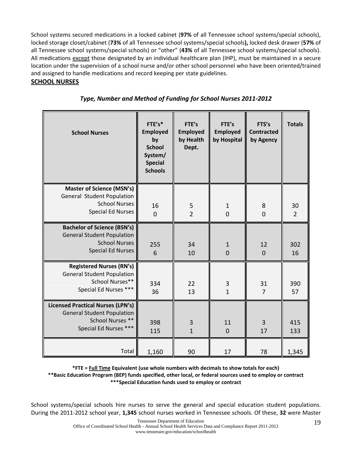School systems secured medications in a locked cabinet (**97%** of all Tennessee school systems/special schools), locked storage closet/cabinet (**73%** of all Tennessee school systems/special schools**),** locked desk drawer (**57%** of all Tennessee school systems/special schools) or "other" (**43%** of all Tennessee school systems/special schools). All medications except those designated by an individual healthcare plan (IHP), must be maintained in a secure location under the supervision of a school nurse and/or other school personnel who have been oriented/trained and assigned to handle medications and record keeping per state guidelines.

# **SCHOOL NURSES**

| <b>School Nurses</b>                                                                                                        | FTE's*<br><b>Employed</b><br>by<br><b>School</b><br>System/<br><b>Special</b><br><b>Schools</b> | FTE's<br><b>Employed</b><br>by Health<br>Dept. | FTE's<br><b>Employed</b><br>by Hospital | FTS's<br><b>Contracted</b><br>by Agency | <b>Totals</b>        |
|-----------------------------------------------------------------------------------------------------------------------------|-------------------------------------------------------------------------------------------------|------------------------------------------------|-----------------------------------------|-----------------------------------------|----------------------|
| <b>Master of Science (MSN's)</b><br>General Student Population<br><b>School Nurses</b><br><b>Special Ed Nurses</b>          | 16<br>$\mathbf 0$                                                                               | $\frac{5}{2}$                                  | $\mathbf{1}$<br>$\overline{0}$          | 8<br>$\overline{0}$                     | 30<br>$\overline{2}$ |
| <b>Bachelor of Science (BSN's)</b><br><b>General Student Population</b><br><b>School Nurses</b><br><b>Special Ed Nurses</b> | 255<br>6                                                                                        | 34<br>10                                       | $\mathbf{1}$<br>$\mathbf 0$             | 12<br>$\overline{0}$                    | 302<br>16            |
| <b>Registered Nurses (RN's)</b><br><b>General Student Population</b><br>School Nurses**<br>Special Ed Nurses ***            | 334<br>36                                                                                       | 22<br>13                                       | 3<br>$\overline{1}$                     | 31<br>$\overline{7}$                    | 390<br>57            |
| <b>Licensed Practical Nurses (LPN's)</b><br><b>General Student Population</b><br>School Nurses **<br>Special Ed Nurses ***  | 398<br>115                                                                                      | $\overline{3}$<br>$\mathbf{1}$                 | 11<br>$\overline{0}$                    | $\overline{3}$<br>17                    | 415<br>133           |
| Total                                                                                                                       | 1,160                                                                                           | 90                                             | 17                                      | 78                                      | 1,345                |

# *Type, Number and Method of Funding for School Nurses 2011-2012*

**\*FTE = Full Time Equivalent (use whole numbers with decimals to show totals for each) \*\*Basic Education Program (BEP) funds specified, other local, or federal sources used to employ or contract \*\*\*Special Education funds used to employ or contract**

School systems/special schools hire nurses to serve the general and special education student populations. During the 2011-2012 school year, **1,345** school nurses worked in Tennessee schools. Of these, **32** were Master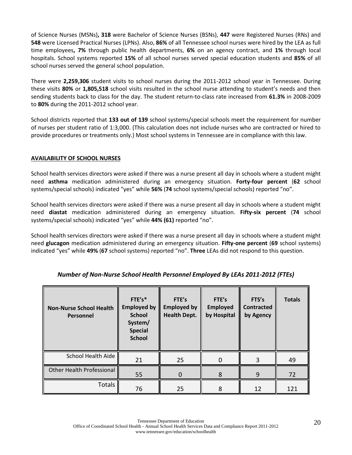of Science Nurses (MSNs)**, 318** were Bachelor of Science Nurses (BSNs), **447** were Registered Nurses (RNs) and **548** were Licensed Practical Nurses (LPNs). Also, **86%** of all Tennessee school nurses were hired by the LEA as full time employees**, 7%** through public health departments, **6%** on an agency contract, and **1%** through local hospitals. School systems reported **15%** of all school nurses served special education students and **85%** of all school nurses served the general school population.

There were **2,259,306** student visits to school nurses during the 2011-2012 school year in Tennessee. During these visits **80%** or **1,805,518** school visits resulted in the school nurse attending to student's needs and then sending students back to class for the day. The student return-to-class rate increased from **61.3%** in 2008-2009 to **80%** during the 2011-2012 school year.

School districts reported that **133 out of 139** school systems/special schools meet the requirement for number of nurses per student ratio of 1:3,000. (This calculation does not include nurses who are contracted or hired to provide procedures or treatments only.) Most school systems in Tennessee are in compliance with this law.

#### **AVAILABILITY OF SCHOOL NURSES**

School health services directors were asked if there was a nurse present all day in schools where a student might need **asthma** medication administered during an emergency situation. **Forty-four percent** (**62** school systems/special schools) indicated "yes" while **56%** (**74** school systems/special schools) reported "no".

School health services directors were asked if there was a nurse present all day in schools where a student might need **diastat** medication administered during an emergency situation. **Fifty-six percent** (**74** school systems/special schools) indicated "yes" while **44% (61)** reported "no".

School health services directors were asked if there was a nurse present all day in schools where a student might need **glucagon** medication administered during an emergency situation. **Fifty-one percent** (**69** school systems) indicated "yes" while **49%** (**67** school systems) reported "no". **Three** LEAs did not respond to this question.

| <b>Non-Nurse School Health</b><br>Personnel | FTE's*<br><b>Employed by</b><br><b>School</b><br>System/<br><b>Special</b><br><b>School</b> | FTE's<br><b>Employed by</b><br><b>Health Dept.</b> | FTE's<br><b>Employed</b><br>by Hospital | FTS's<br><b>Contracted</b><br>by Agency | <b>Totals</b> |
|---------------------------------------------|---------------------------------------------------------------------------------------------|----------------------------------------------------|-----------------------------------------|-----------------------------------------|---------------|
| School Health Aide                          | 21                                                                                          | 25                                                 |                                         | 3                                       | 49            |
| Other Health Professional                   | 55                                                                                          | $\Omega$                                           | 8                                       | 9                                       | 72            |
| <b>Totals</b>                               | 76                                                                                          | 25                                                 | 8                                       | 12                                      | 121           |

#### *Number of Non-Nurse School Health Personnel Employed By LEAs 2011-2012 (FTEs)*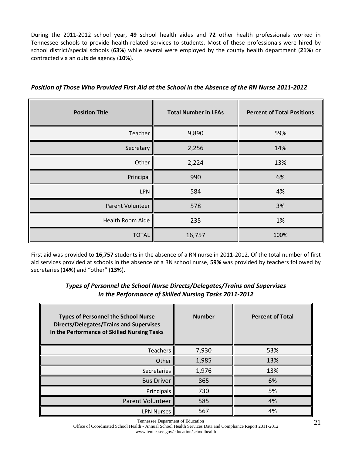During the 2011-2012 school year, **49 s**chool health aides and **72** other health professionals worked in Tennessee schools to provide health-related services to students. Most of these professionals were hired by school district/special schools (**63%**) while several were employed by the county health department (**21%**) or contracted via an outside agency (**10%**).

| <b>Position Title</b> | <b>Total Number in LEAs</b> | <b>Percent of Total Positions</b> |
|-----------------------|-----------------------------|-----------------------------------|
| Teacher               | 9,890                       | 59%                               |
| Secretary             | 2,256                       | 14%                               |
| Other                 | 2,224                       | 13%                               |
| Principal             | 990                         | 6%                                |
| <b>LPN</b>            | 584                         | 4%                                |
| Parent Volunteer      | 578                         | 3%                                |
| Health Room Aide      | 235                         | 1%                                |
| <b>TOTAL</b>          | 16,757                      | 100%                              |

*Position of Those Who Provided First Aid at the School in the Absence of the RN Nurse 2011-2012*

First aid was provided to **16,757** students in the absence of a RN nurse in 2011-2012. Of the total number of first aid services provided at schools in the absence of a RN school nurse, **59%** was provided by teachers followed by secretaries (**14%**) and "other" (**13%**).

## *Types of Personnel the School Nurse Directs/Delegates/Trains and Supervises In the Performance of Skilled Nursing Tasks 2011-2012*

| <b>Types of Personnel the School Nurse</b><br><b>Directs/Delegates/Trains and Supervises</b><br>In the Performance of Skilled Nursing Tasks | <b>Number</b> | <b>Percent of Total</b> |
|---------------------------------------------------------------------------------------------------------------------------------------------|---------------|-------------------------|
| <b>Teachers</b>                                                                                                                             | 7,930         | 53%                     |
| Other                                                                                                                                       | 1,985         | 13%                     |
| Secretaries                                                                                                                                 | 1,976         | 13%                     |
| <b>Bus Driver</b>                                                                                                                           | 865           | 6%                      |
| Principals                                                                                                                                  | 730           | 5%                      |
| <b>Parent Volunteer</b>                                                                                                                     | 585           | 4%                      |
| <b>LPN Nurses</b>                                                                                                                           | 567           | 4%                      |

Tennessee Department of Education

Office of Coordinated School Health - Annual School Health Services Data and Compliance Report 2011-2012 www.tennessee.gov/education/schoolhealth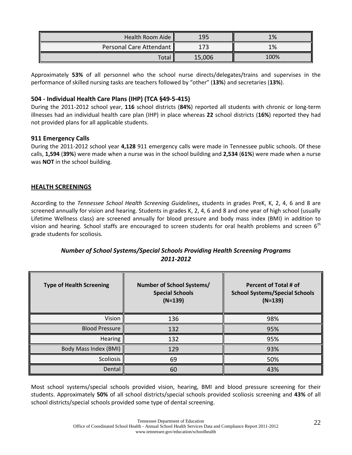| Health Room Aide        | 19F    | 1%   |
|-------------------------|--------|------|
| Personal Care Attendant |        | 1%   |
| Total                   | 15,006 | 100% |

Approximately **53%** of all personnel who the school nurse directs/delegates/trains and supervises in the performance of skilled nursing tasks are teachers followed by "other" (**13%**) and secretaries (**13%**).

## **504 - Individual Health Care Plans (IHP) (TCA §49-5-415)**

During the 2011-2012 school year, **116** school districts (**84%**) reported all students with chronic or long-term illnesses had an individual health care plan (IHP) in place whereas **22** school districts (**16%**) reported they had not provided plans for all applicable students.

#### **911 Emergency Calls**

During the 2011-2012 school year **4,128** 911 emergency calls were made in Tennessee public schools. Of these calls, **1,594** (**39%**) were made when a nurse was in the school building and **2,534** (**61%**) were made when a nurse was **NOT** in the school building.

#### **HEALTH SCREENINGS**

According to the *Tennessee School Health Screening Guidelines***,** students in grades PreK, K, 2, 4, 6 and 8 are screened annually for vision and hearing. Students in grades K, 2, 4, 6 and 8 and one year of high school (usually Lifetime Wellness class) are screened annually for blood pressure and body mass index (BMI) in addition to vision and hearing. School staffs are encouraged to screen students for oral health problems and screen 6<sup>th</sup> grade students for scoliosis.

# *Number of School Systems/Special Schools Providing Health Screening Programs 2011-2012*

| <b>Type of Health Screening</b> | Number of School Systems/<br><b>Special Schools</b><br>$(N=139)$ | Percent of Total # of<br><b>School Systems/Special Schools</b><br>$(N=139)$ |
|---------------------------------|------------------------------------------------------------------|-----------------------------------------------------------------------------|
| Vision                          | 136                                                              | 98%                                                                         |
| <b>Blood Pressure</b>           | 132                                                              | 95%                                                                         |
| Hearing                         | 132                                                              | 95%                                                                         |
| Body Mass Index (BMI)           | 129                                                              | 93%                                                                         |
| Scoliosis                       | 69                                                               | 50%                                                                         |
| Dental                          | 60                                                               | 43%                                                                         |

Most school systems/special schools provided vision, hearing, BMI and blood pressure screening for their students. Approximately **50%** of all school districts/special schools provided scoliosis screening and **43%** of all school districts/special schools provided some type of dental screening.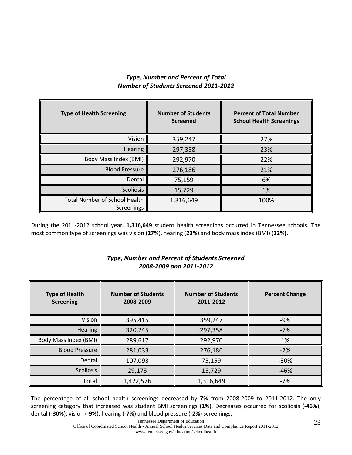# *Type, Number and Percent of Total Number of Students Screened 2011-2012*

| <b>Type of Health Screening</b>             | <b>Number of Students</b><br><b>Screened</b> | <b>Percent of Total Number</b><br><b>School Health Screenings</b> |
|---------------------------------------------|----------------------------------------------|-------------------------------------------------------------------|
| Vision                                      | 359,247                                      | 27%                                                               |
| <b>Hearing</b>                              | 297,358                                      | 23%                                                               |
| Body Mass Index (BMI)                       | 292,970                                      | 22%                                                               |
| <b>Blood Pressure</b>                       | 276,186                                      | 21%                                                               |
| Dental                                      | 75,159                                       | 6%                                                                |
| Scoliosis                                   | 15,729                                       | 1%                                                                |
| Total Number of School Health<br>Screenings | 1,316,649                                    | 100%                                                              |

During the 2011-2012 school year, **1,316,649** student health screenings occurred in Tennessee schools. The most common type of screenings was vision (**27%**), hearing (**23%**) and body mass index (BMI) (**22%).**

# *Type, Number and Percent of Students Screened 2008-2009 and 2011-2012*

| <b>Type of Health</b><br><b>Screening</b> | <b>Number of Students</b><br>2008-2009 | <b>Number of Students</b><br>2011-2012 | <b>Percent Change</b> |
|-------------------------------------------|----------------------------------------|----------------------------------------|-----------------------|
| Vision                                    | 395,415                                | 359,247                                | $-9%$                 |
| <b>Hearing</b>                            | 320,245                                | 297,358                                | $-7%$                 |
| Body Mass Index (BMI)                     | 289,617                                | 292,970                                | 1%                    |
| <b>Blood Pressure</b>                     | 281,033                                | 276,186                                | $-2%$                 |
| Dental                                    | 107,093                                | 75,159                                 | $-30%$                |
| <b>Scoliosis</b>                          | 29,173                                 | 15,729                                 | $-46%$                |
| Total                                     | 1,422,576                              | 1,316,649                              | $-7%$                 |

The percentage of all school health screenings decreased by **7%** from 2008-2009 to 2011-2012. The only screening category that increased was student BMI screenings (**1%**). Decreases occurred for scoliosis (**-46%**), dental (**-30%**), vision (**-9%**), hearing (**-7%**) and blood pressure (**-2%**) screenings.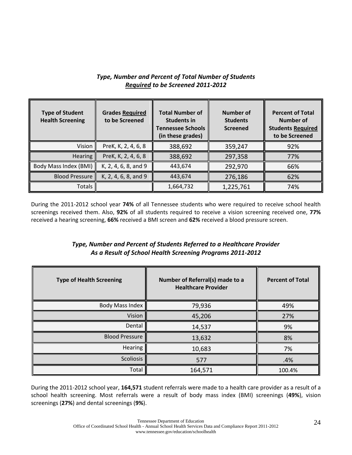# *Type, Number and Percent of Total Number of Students Required to be Screened 2011-2012*

| <b>Type of Student</b><br><b>Health Screening</b> | <b>Grades Required</b><br>to be Screened | <b>Total Number of</b><br><b>Students in</b><br><b>Tennessee Schools</b><br>(in these grades) | Number of<br><b>Students</b><br><b>Screened</b> | <b>Percent of Total</b><br>Number of<br><b>Students Required</b><br>to be Screened |
|---------------------------------------------------|------------------------------------------|-----------------------------------------------------------------------------------------------|-------------------------------------------------|------------------------------------------------------------------------------------|
| Vision                                            | PreK, K, 2, 4, 6, 8                      | 388,692                                                                                       | 359,247                                         | 92%                                                                                |
| <b>Hearing</b>                                    | PreK, K, 2, 4, 6, 8                      | 388,692                                                                                       | 297,358                                         | 77%                                                                                |
| Body Mass Index (BMI)                             | K, 2, 4, 6, 8, and 9                     | 443,674                                                                                       | 292,970                                         | 66%                                                                                |
| <b>Blood Pressure</b>                             | K, 2, 4, 6, 8, and 9                     | 443,674                                                                                       | 276,186                                         | 62%                                                                                |
| Totals                                            |                                          | 1,664,732                                                                                     | 1,225,761                                       | 74%                                                                                |

During the 2011-2012 school year **74%** of all Tennessee students who were required to receive school health screenings received them. Also, **92%** of all students required to receive a vision screening received one, **77%** received a hearing screening, **66%** received a BMI screen and **62%** received a blood pressure screen.

# *Type, Number and Percent of Students Referred to a Healthcare Provider As a Result of School Health Screening Programs 2011-2012*

| <b>Type of Health Screening</b> | Number of Referral(s) made to a<br><b>Healthcare Provider</b> | <b>Percent of Total</b> |
|---------------------------------|---------------------------------------------------------------|-------------------------|
| Body Mass Index                 | 79,936                                                        | 49%                     |
| Vision                          | 45,206                                                        | 27%                     |
| Dental                          | 14,537                                                        | 9%                      |
| <b>Blood Pressure</b>           | 13,632                                                        | 8%                      |
| Hearing                         | 10,683                                                        | 7%                      |
| Scoliosis                       | 577                                                           | .4%                     |
| Total                           | 164,571                                                       | 100.4%                  |

During the 2011-2012 school year, **164,571** student referrals were made to a health care provider as a result of a school health screening. Most referrals were a result of body mass index (BMI) screenings (**49%**), vision screenings (**27%**) and dental screenings (**9%**).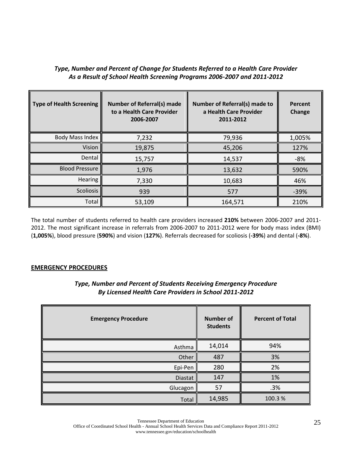# *Type, Number and Percent of Change for Students Referred to a Health Care Provider As a Result of School Health Screening Programs 2006-2007 and 2011-2012*

| <b>Type of Health Screening</b> | <b>Number of Referral(s) made</b><br>to a Health Care Provider<br>2006-2007 | <b>Number of Referral(s) made to</b><br>a Health Care Provider<br>2011-2012 | Percent<br>Change |
|---------------------------------|-----------------------------------------------------------------------------|-----------------------------------------------------------------------------|-------------------|
| <b>Body Mass Index</b>          | 7,232                                                                       | 79,936                                                                      | 1,005%            |
| Vision                          | 19,875                                                                      | 45,206                                                                      | 127%              |
| Dental                          | 15,757                                                                      | 14,537                                                                      | $-8%$             |
| <b>Blood Pressure</b>           | 1,976                                                                       | 13,632                                                                      | 590%              |
| <b>Hearing</b>                  | 7,330                                                                       | 10,683                                                                      | 46%               |
| <b>Scoliosis</b>                | 939                                                                         | 577                                                                         | $-39%$            |
| Total                           | 53,109                                                                      | 164,571                                                                     | 210%              |

The total number of students referred to health care providers increased **210%** between 2006-2007 and 2011- 2012. The most significant increase in referrals from 2006-2007 to 2011-2012 were for body mass index (BMI) (**1,005%**), blood pressure (**590%**) and vision (**127%**). Referrals decreased for scoliosis (**-39%**) and dental (**-8%**).

#### **EMERGENCY PROCEDURES**

# **Emergency Procedure Number of Number of Students Percent of Total** Asthma 14,014 | 94% Other 487 | 3% Epi-Pen 280 2% Diastat 147 | 1% Glucagon  $\parallel$  57  $\parallel$  .3% Total  $14,985$  100.3 %

# *Type, Number and Percent of Students Receiving Emergency Procedure By Licensed Health Care Providers in School 2011-2012*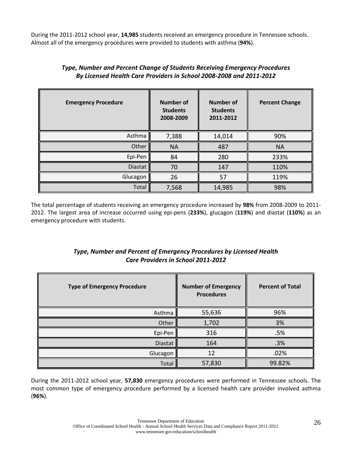During the 2011-2012 school year, **14,985** students received an emergency procedure in Tennessee schools. Almost all of the emergency procedures were provided to students with asthma (**94%**).

| <b>Emergency Procedure</b> | <b>Number of</b><br><b>Students</b><br>2008-2009 | <b>Number of</b><br><b>Students</b><br>2011-2012 | <b>Percent Change</b> |
|----------------------------|--------------------------------------------------|--------------------------------------------------|-----------------------|
| Asthma                     | 7,388                                            | 14,014                                           | 90%                   |
| Other                      | <b>NA</b>                                        | 487                                              | <b>NA</b>             |
| Epi-Pen                    | 84                                               | 280                                              | 233%                  |
| <b>Diastat</b>             | 70                                               | 147                                              | 110%                  |
| Glucagon                   | 26                                               | 57                                               | 119%                  |
| Total                      | 7,568                                            | 14,985                                           | 98%                   |

# *Type, Number and Percent Change of Students Receiving Emergency Procedures By Licensed Health Care Providers in School 2008-2008 and 2011-2012*

The total percentage of students receiving an emergency procedure increased by **98%** from 2008-2009 to 2011- 2012. The largest area of increase occurred using epi-pens (**233%**), glucagon (**119%**) and diastat (**110%**) as an emergency procedure with students.

# *Type, Number and Percent of Emergency Procedures by Licensed Health Care Providers in School 2011-2012*

| <b>Type of Emergency Procedure</b> | <b>Number of Emergency</b><br><b>Procedures</b> | <b>Percent of Total</b> |
|------------------------------------|-------------------------------------------------|-------------------------|
| Asthma                             | 55,636                                          | 96%                     |
| Other                              | 1,702                                           | 3%                      |
| Epi-Pen                            | 316                                             | .5%                     |
| <b>Diastat</b>                     | 164                                             | .3%                     |
| Glucagon                           | 12                                              | .02%                    |
| Total                              | 57,830                                          | 99.82%                  |

During the 2011-2012 school year, **57,830** emergency procedures were performed in Tennessee schools. The most common type of emergency procedure performed by a licensed health care provider involved asthma (**96%**).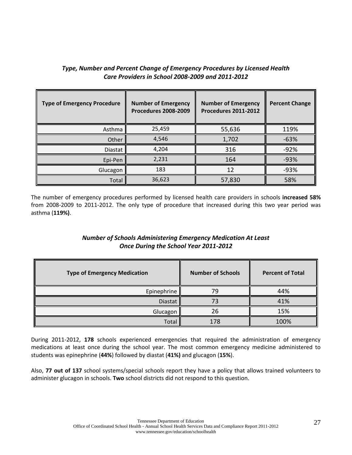# *Type, Number and Percent Change of Emergency Procedures by Licensed Health Care Providers in School 2008-2009 and 2011-2012*

| <b>Type of Emergency Procedure</b> | <b>Number of Emergency</b><br><b>Procedures 2008-2009</b> | <b>Number of Emergency</b><br><b>Procedures 2011-2012</b> | <b>Percent Change</b> |
|------------------------------------|-----------------------------------------------------------|-----------------------------------------------------------|-----------------------|
| Asthma                             | 25,459                                                    | 55,636                                                    | 119%                  |
| Other                              | 4,546                                                     | 1,702                                                     | $-63%$                |
| <b>Diastat</b>                     | 4,204                                                     | 316                                                       | $-92%$                |
| Epi-Pen                            | 2,231                                                     | 164                                                       | $-93%$                |
| Glucagon                           | 183                                                       | 12                                                        | $-93%$                |
| Total                              | 36,623                                                    | 57,830                                                    | 58%                   |

The number of emergency procedures performed by licensed health care providers in schools **increased 58%** from 2008-2009 to 2011-2012. The only type of procedure that increased during this two year period was asthma (**119%)**.

# *Number of Schools Administering Emergency Medication At Least Once During the School Year 2011-2012*

| <b>Type of Emergency Medication</b> | <b>Number of Schools</b> | <b>Percent of Total</b> |
|-------------------------------------|--------------------------|-------------------------|
| Epinephrine                         | 79                       | 44%                     |
| Diastat                             |                          | 41%                     |
| Glucagon                            | 26                       | 15%                     |
| Total                               | 178                      | 100%                    |

During 2011-2012, **178** schools experienced emergencies that required the administration of emergency medications at least once during the school year. The most common emergency medicine administered to students was epinephrine (**44%**) followed by diastat (**41%)** and glucagon (**15%**).

Also, **77 out of 137** school systems/special schools report they have a policy that allows trained volunteers to administer glucagon in schools. **Two** school districts did not respond to this question.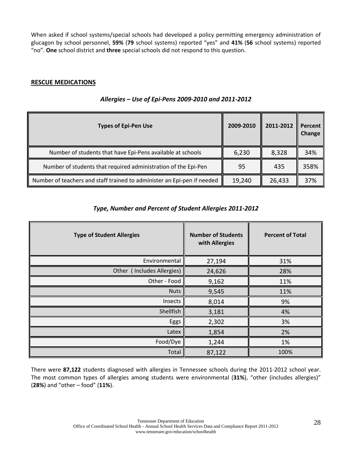When asked if school systems/special schools had developed a policy permitting emergency administration of glucagon by school personnel, **59%** (**79** school systems) reported "yes" and **41%** (**56** school systems) reported "no". **One** school district and **three** special schools did not respond to this question.

## **RESCUE MEDICATIONS**

| <b>Types of Epi-Pen Use</b>                                             | 2009-2010 | 2011-2012 | Percent<br><b>Change</b> |
|-------------------------------------------------------------------------|-----------|-----------|--------------------------|
| Number of students that have Epi-Pens available at schools              | 6,230     | 8,328     | 34%                      |
| Number of students that required administration of the Epi-Pen          | 95        | 435       | 358%                     |
| Number of teachers and staff trained to administer an Epi-pen if needed | 19,240    | 26,433    | 37%                      |

### *Allergies – Use of Epi-Pens 2009-2010 and 2011-2012*

# *Type, Number and Percent of Student Allergies 2011-2012*

| <b>Type of Student Allergies</b> | <b>Number of Students</b><br>with Allergies | <b>Percent of Total</b> |
|----------------------------------|---------------------------------------------|-------------------------|
| Environmental                    | 27,194                                      | 31%                     |
| Other (Includes Allergies)       | 24,626                                      | 28%                     |
| Other - Food                     | 9,162                                       | 11%                     |
| <b>Nuts</b>                      | 9,545                                       | 11%                     |
| Insects                          | 8,014                                       | 9%                      |
| Shellfish                        | 3,181                                       | 4%                      |
| Eggs                             | 2,302                                       | 3%                      |
| Latex                            | 1,854                                       | 2%                      |
| Food/Dye                         | 1,244                                       | 1%                      |
| Total                            | 87,122                                      | 100%                    |

There were **87,122** students diagnosed with allergies in Tennessee schools during the 2011-2012 school year. The most common types of allergies among students were environmental (**31%**), "other (includes allergies)" (**28%**) and "other – food" (**11%**).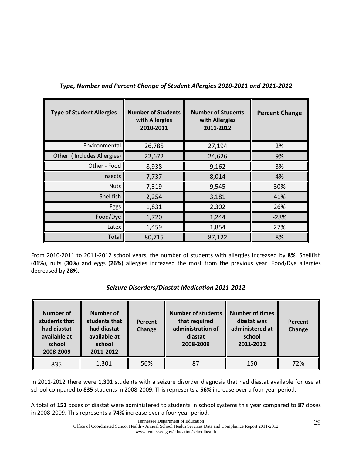| <b>Type of Student Allergies</b> | <b>Number of Students</b><br>with Allergies<br>2010-2011 | <b>Number of Students</b><br>with Allergies<br>2011-2012 | <b>Percent Change</b> |
|----------------------------------|----------------------------------------------------------|----------------------------------------------------------|-----------------------|
| Environmental                    | 26,785                                                   | 27,194                                                   | 2%                    |
| Other (Includes Allergies)       | 22,672                                                   | 24,626                                                   | 9%                    |
| Other - Food                     | 8,938                                                    | 9,162                                                    | 3%                    |
| Insects                          | 7,737                                                    | 8,014                                                    | 4%                    |
| <b>Nuts</b>                      | 7,319                                                    | 9,545                                                    | 30%                   |
| Shellfish                        | 2,254                                                    | 3,181                                                    | 41%                   |
| Eggs                             | 1,831                                                    | 2,302                                                    | 26%                   |
| Food/Dye                         | 1,720                                                    | 1,244                                                    | $-28%$                |
| Latex                            | 1,459                                                    | 1,854                                                    | 27%                   |
| Total                            | 80,715                                                   | 87,122                                                   | 8%                    |

# *Type, Number and Percent Change of Student Allergies 2010-2011 and 2011-2012*

From 2010-2011 to 2011-2012 school years, the number of students with allergies increased by **8%**. Shellfish (**41%**), nuts (**30%**) and eggs (**26%**) allergies increased the most from the previous year. Food/Dye allergies decreased by **28%**.

| <b>Seizure Disorders/Diastat Medication 2011-2012</b> |  |  |  |
|-------------------------------------------------------|--|--|--|
|-------------------------------------------------------|--|--|--|

| <b>Number of</b><br>students that<br>had diastat<br>available at<br>school<br>2008-2009 | <b>Number of</b><br>students that<br>had diastat<br>available at<br>school<br>2011-2012 | Percent<br>Change | <b>Number of students</b><br>that required<br>administration of<br>diastat<br>2008-2009 | <b>Number of times</b><br>diastat was<br>administered at<br>school<br>2011-2012 | Percent<br>Change |
|-----------------------------------------------------------------------------------------|-----------------------------------------------------------------------------------------|-------------------|-----------------------------------------------------------------------------------------|---------------------------------------------------------------------------------|-------------------|
| 835                                                                                     | 1,301                                                                                   | 56%               | 87                                                                                      | 150                                                                             | 72%               |

In 2011-2012 there were **1,301** students with a seizure disorder diagnosis that had diastat available for use at school compared to **835** students in 2008-2009. This represents a **56%** increase over a four year period.

A total of **151** doses of diastat were administered to students in school systems this year compared to **87** doses in 2008-2009. This represents a **74%** increase over a four year period.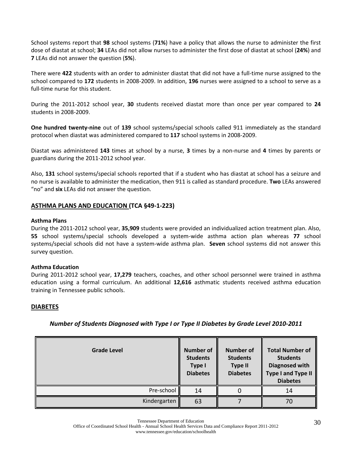School systems report that **98** school systems (**71%**) have a policy that allows the nurse to administer the first dose of diastat at school; **34** LEAs did not allow nurses to administer the first dose of diastat at school (**24%**) and **7** LEAs did not answer the question (**5%**).

There were **422** students with an order to administer diastat that did not have a full-time nurse assigned to the school compared to **172** students in 2008-2009. In addition, **196** nurses were assigned to a school to serve as a full-time nurse for this student.

During the 2011-2012 school year, **30** students received diastat more than once per year compared to **24** students in 2008-2009.

**One hundred twenty-nine** out of **139** school systems/special schools called 911 immediately as the standard protocol when diastat was administered compared to **117** school systems in 2008-2009.

Diastat was administered **143** times at school by a nurse, **3** times by a non-nurse and **4** times by parents or guardians during the 2011-2012 school year.

Also, **131** school systems/special schools reported that if a student who has diastat at school has a seizure and no nurse is available to administer the medication, then 911 is called as standard procedure. **Two** LEAs answered "no" and **six** LEAs did not answer the question.

#### **ASTHMA PLANS AND EDUCATION (TCA §49-1-223)**

#### **Asthma Plans**

During the 2011-2012 school year, **35,909** students were provided an individualized action treatment plan. Also, **55** school systems/special schools developed a system-wide asthma action plan whereas **77** school systems/special schools did not have a system-wide asthma plan. **Seven** school systems did not answer this survey question.

#### **Asthma Education**

During 2011-2012 school year, **17,279** teachers, coaches, and other school personnel were trained in asthma education using a formal curriculum. An additional **12,616** asthmatic students received asthma education training in Tennessee public schools.

#### **DIABETES**

| <b>Grade Level</b> | <b>Number of</b><br><b>Students</b><br><b>Type I</b><br><b>Diabetes</b> | <b>Number of</b><br><b>Students</b><br><b>Type II</b><br><b>Diabetes</b> | <b>Total Number of</b><br><b>Students</b><br><b>Diagnosed with</b><br><b>Type I and Type II</b><br><b>Diabetes</b> |
|--------------------|-------------------------------------------------------------------------|--------------------------------------------------------------------------|--------------------------------------------------------------------------------------------------------------------|
| Pre-school         | 14                                                                      |                                                                          | 14                                                                                                                 |
| Kindergarten       | 63                                                                      |                                                                          | 70                                                                                                                 |

#### *Number of Students Diagnosed with Type I or Type II Diabetes by Grade Level 2010-2011*

Office of Coordinated School Health - Annual School Health Services Data and Compliance Report 2011-2012 www.tennessee.gov/education/schoolhealth

Tennessee Department of Education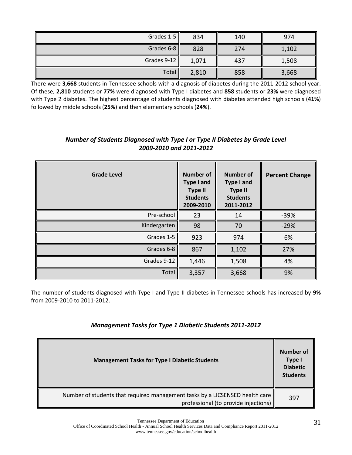| Grades 1-5  | 834   | 140 | 974   |  |
|-------------|-------|-----|-------|--|
| Grades 6-8  | 828   | 274 | 1,102 |  |
| Grades 9-12 | 1,071 | 437 | 1,508 |  |
| Total       | 2,810 | 858 | 3,668 |  |

There were **3,668** students in Tennessee schools with a diagnosis of diabetes during the 2011-2012 school year. Of these, **2,810** students or **77%** were diagnosed with Type I diabetes and **858** students or **23%** were diagnosed with Type 2 diabetes. The highest percentage of students diagnosed with diabetes attended high schools (**41%**) followed by middle schools (**25%**) and then elementary schools (**24%**).

| <b>Grade Level</b> | <b>Number of</b><br><b>Type I and</b><br><b>Type II</b><br><b>Students</b><br>2009-2010 | <b>Number of</b><br><b>Type I and</b><br><b>Type II</b><br><b>Students</b><br>2011-2012 | <b>Percent Change</b> |
|--------------------|-----------------------------------------------------------------------------------------|-----------------------------------------------------------------------------------------|-----------------------|
| Pre-school         | 23                                                                                      | 14                                                                                      | $-39%$                |
| Kindergarten       | 98                                                                                      | 70                                                                                      | $-29%$                |
| Grades 1-5         | 923                                                                                     | 974                                                                                     | 6%                    |
| Grades 6-8         | 867                                                                                     | 1,102                                                                                   | 27%                   |
| Grades 9-12        | 1,446                                                                                   | 1,508                                                                                   | 4%                    |
| Total              | 3,357                                                                                   | 3,668                                                                                   | 9%                    |

# *Number of Students Diagnosed with Type I or Type II Diabetes by Grade Level 2009-2010 and 2011-2012*

The number of students diagnosed with Type I and Type II diabetes in Tennessee schools has increased by **9%** from 2009-2010 to 2011-2012.

# *Management Tasks for Type 1 Diabetic Students 2011-2012*

| <b>Management Tasks for Type I Diabetic Students</b>                                                                 |     |
|----------------------------------------------------------------------------------------------------------------------|-----|
| Number of students that required management tasks by a LICSENSED health care<br>professional (to provide injections) | 397 |

Tennessee Department of Education

Office of Coordinated School Health - Annual School Health Services Data and Compliance Report 2011-2012 www.tennessee.gov/education/schoolhealth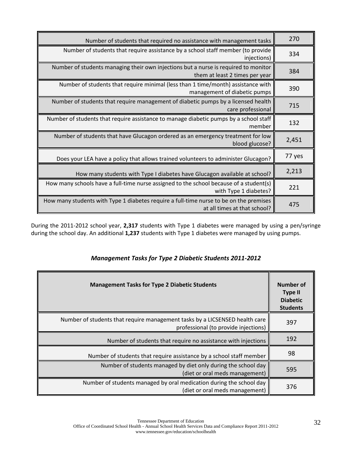| Number of students that required no assistance with management tasks                                                   | 270    |
|------------------------------------------------------------------------------------------------------------------------|--------|
| Number of students that require assistance by a school staff member (to provide<br>injections)                         | 334    |
| Number of students managing their own injections but a nurse is required to monitor<br>them at least 2 times per year  | 384    |
| Number of students that require minimal (less than 1 time/month) assistance with<br>management of diabetic pumps       | 390    |
| Number of students that require management of diabetic pumps by a licensed health<br>care professional                 | 715    |
| Number of students that require assistance to manage diabetic pumps by a school staff<br>member                        | 132    |
| Number of students that have Glucagon ordered as an emergency treatment for low<br>blood glucose?                      | 2,451  |
| Does your LEA have a policy that allows trained volunteers to administer Glucagon?                                     | 77 yes |
| How many students with Type I diabetes have Glucagon available at school?                                              | 2,213  |
| How many schools have a full-time nurse assigned to the school because of a student(s)<br>with Type 1 diabetes?        | 221    |
| How many students with Type 1 diabetes require a full-time nurse to be on the premises<br>at all times at that school? | 475    |

During the 2011-2012 school year, **2,317** students with Type 1 diabetes were managed by using a pen/syringe during the school day. An additional **1,237** students with Type 1 diabetes were managed by using pumps.

| <b>Management Tasks for Type 2 Diabetic Students</b>                                                                | Number of<br><b>Type II</b><br><b>Diabetic</b><br><b>Students</b> |
|---------------------------------------------------------------------------------------------------------------------|-------------------------------------------------------------------|
| Number of students that require management tasks by a LICSENSED health care<br>professional (to provide injections) | 397                                                               |
| Number of students that require no assistance with injections                                                       | 192                                                               |
| Number of students that require assistance by a school staff member                                                 | 98                                                                |
| Number of students managed by diet only during the school day<br>(diet or oral meds management)                     | 595                                                               |
| Number of students managed by oral medication during the school day<br>(diet or oral meds management)               | 376                                                               |

# *Management Tasks for Type 2 Diabetic Students 2011-2012*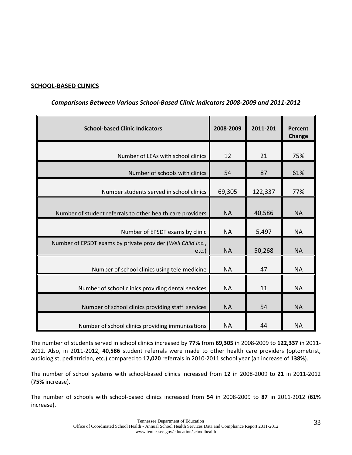## **SCHOOL-BASED CLINICS**

| <b>School-based Clinic Indicators</b>                                | 2008-2009 | 2011-201 | <b>Percent</b><br><b>Change</b> |
|----------------------------------------------------------------------|-----------|----------|---------------------------------|
| Number of LEAs with school clinics                                   | 12        | 21       | 75%                             |
| Number of schools with clinics                                       | 54        | 87       | 61%                             |
| Number students served in school clinics                             | 69,305    | 122,337  | 77%                             |
| Number of student referrals to other health care providers           | <b>NA</b> | 40,586   | <b>NA</b>                       |
| Number of EPSDT exams by clinic                                      | <b>NA</b> | 5,497    | <b>NA</b>                       |
| Number of EPSDT exams by private provider (Well Child Inc.,<br>etc.) | <b>NA</b> | 50,268   | <b>NA</b>                       |
| Number of school clinics using tele-medicine                         | <b>NA</b> | 47       | <b>NA</b>                       |
| Number of school clinics providing dental services                   | <b>NA</b> | 11       | <b>NA</b>                       |
| Number of school clinics providing staff services                    | <b>NA</b> | 54       | <b>NA</b>                       |
| Number of school clinics providing immunizations                     | <b>NA</b> | 44       | <b>NA</b>                       |

# *Comparisons Between Various School-Based Clinic Indicators 2008-2009 and 2011-2012*

The number of students served in school clinics increased by **77%** from **69,305** in 2008-2009 to **122,337** in 2011- 2012. Also, in 2011-2012, **40,586** student referrals were made to other health care providers (optometrist, audiologist, pediatrician, etc.) compared to **17,020** referrals in 2010-2011 school year (an increase of **138%**).

The number of school systems with school-based clinics increased from **12** in 2008-2009 to **21** in 2011-2012 (**75%** increase).

The number of schools with school-based clinics increased from **54** in 2008-2009 to **87** in 2011-2012 (**61%**  increase).